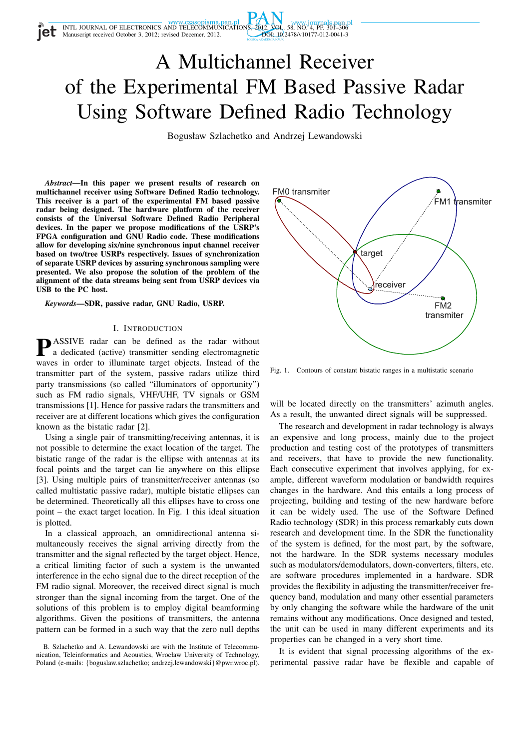VWW.CZasopisma.pan.pl<br>INTL JOURNAL OF ELECTRONICS AND TELECOMMUNICATIONS, 2012, VOL. 58, NO. 4, PP. 301–306<br>Manuscript received October 3, 2012: revised Decemer. 2012.<br>DOI: 10.2478/v10177-012-0041-3 Manuscript received October 3, 2012; revised Decemer, 2012.



Bogusław Szlachetko and Andrzej Lewandowski

*Abstract*—In this paper we present results of research on multichannel receiver using Software Defined Radio technology. This receiver is a part of the experimental FM based passive radar being designed. The hardware platform of the receiver consists of the Universal Software Defined Radio Peripheral devices. In the paper we propose modifications of the USRP's FPGA configuration and GNU Radio code. These modifications allow for developing six/nine synchronous input channel receiver based on two/tree USRPs respectively. Issues of synchronization of separate USRP devices by assuring synchronous sampling were presented. We also propose the solution of the problem of the alignment of the data streams being sent from USRP devices via USB to the PC host.

*Keywords*—SDR, passive radar, GNU Radio, USRP.

## I. INTRODUCTION

**P**ASSIVE radar can be defined as the radar without a dedicated (active) transmitter sending electromagnetic a dedicated (active) transmitter sending electromagnetic waves in order to illuminate target objects. Instead of the transmitter part of the system, passive radars utilize third party transmissions (so called "illuminators of opportunity") such as FM radio signals, VHF/UHF, TV signals or GSM transmissions [1]. Hence for passive radars the transmitters and receiver are at different locations which gives the configuration known as the bistatic radar [2].

Using a single pair of transmitting/receiving antennas, it is not possible to determine the exact location of the target. The bistatic range of the radar is the ellipse with antennas at its focal points and the target can lie anywhere on this ellipse [3]. Using multiple pairs of transmitter/receiver antennas (so called multistatic passive radar), multiple bistatic ellipses can be determined. Theoretically all this ellipses have to cross one point – the exact target location. In Fig. 1 this ideal situation is plotted.

In a classical approach, an omnidirectional antenna simultaneously receives the signal arriving directly from the transmitter and the signal reflected by the target object. Hence, a critical limiting factor of such a system is the unwanted interference in the echo signal due to the direct reception of the FM radio signal. Moreover, the received direct signal is much stronger than the signal incoming from the target. One of the solutions of this problem is to employ digital beamforming algorithms. Given the positions of transmitters, the antenna pattern can be formed in a such way that the zero null depths



Fig. 1. Contours of constant bistatic ranges in a multistatic scenario

will be located directly on the transmitters' azimuth angles. As a result, the unwanted direct signals will be suppressed.

The research and development in radar technology is always an expensive and long process, mainly due to the project production and testing cost of the prototypes of transmitters and receivers, that have to provide the new functionality. Each consecutive experiment that involves applying, for example, different waveform modulation or bandwidth requires changes in the hardware. And this entails a long process of projecting, building and testing of the new hardware before it can be widely used. The use of the Software Defined Radio technology (SDR) in this process remarkably cuts down research and development time. In the SDR the functionality of the system is defined, for the most part, by the software, not the hardware. In the SDR systems necessary modules such as modulators/demodulators, down-converters, filters, etc. are software procedures implemented in a hardware. SDR provides the flexibility in adjusting the transmitter/receiver frequency band, modulation and many other essential parameters by only changing the software while the hardware of the unit remains without any modifications. Once designed and tested, the unit can be used in many different experiments and its properties can be changed in a very short time.

It is evident that signal processing algorithms of the experimental passive radar have be flexible and capable of

B. Szlachetko and A. Lewandowski are with the Institute of Telecommunication, Teleinformatics and Acoustics, Wrocław University of Technology, Poland (e-mails: {boguslaw.szlachetko; andrzej.lewandowski}@pwr.wroc.pl).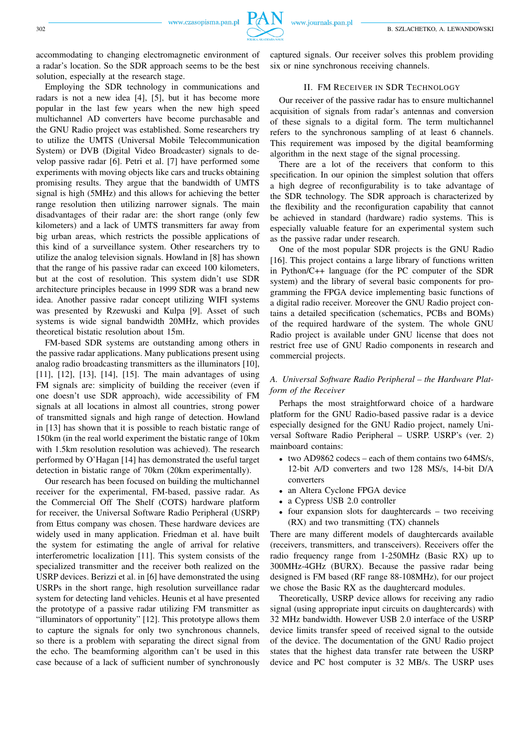www.czasopisma.pan.pl

accommodating to changing electromagnetic environment of a radar's location. So the SDR approach seems to be the best solution, especially at the research stage.

Employing the SDR technology in communications and radars is not a new idea [4], [5], but it has become more popular in the last few years when the new high speed multichannel AD converters have become purchasable and the GNU Radio project was established. Some researchers try to utilize the UMTS (Universal Mobile Telecommunication System) or DVB (Digital Video Broadcaster) signals to develop passive radar [6]. Petri et al. [7] have performed some experiments with moving objects like cars and trucks obtaining promising results. They argue that the bandwidth of UMTS signal is high (5MHz) and this allows for achieving the better range resolution then utilizing narrower signals. The main disadvantages of their radar are: the short range (only few kilometers) and a lack of UMTS transmitters far away from big urban areas, which restricts the possible applications of this kind of a surveillance system. Other researchers try to utilize the analog television signals. Howland in [8] has shown that the range of his passive radar can exceed 100 kilometers, but at the cost of resolution. This system didn't use SDR architecture principles because in 1999 SDR was a brand new idea. Another passive radar concept utilizing WIFI systems was presented by Rzewuski and Kulpa [9]. Asset of such systems is wide signal bandwidth 20MHz, which provides theoretical bistatic resolution about 15m.

FM-based SDR systems are outstanding among others in the passive radar applications. Many publications present using analog radio broadcasting transmitters as the illuminators [10], [11], [12], [13], [14], [15]. The main advantages of using FM signals are: simplicity of building the receiver (even if one doesn't use SDR approach), wide accessibility of FM signals at all locations in almost all countries, strong power of transmitted signals and high range of detection. Howland in [13] has shown that it is possible to reach bistatic range of 150km (in the real world experiment the bistatic range of 10km with 1.5km resolution resolution was achieved). The research performed by O'Hagan [14] has demonstrated the useful target detection in bistatic range of 70km (20km experimentally).

Our research has been focused on building the multichannel receiver for the experimental, FM-based, passive radar. As the Commercial Off The Shelf (COTS) hardware platform for receiver, the Universal Software Radio Peripheral (USRP) from Ettus company was chosen. These hardware devices are widely used in many application. Friedman et al. have built the system for estimating the angle of arrival for relative interferometric localization [11]. This system consists of the specialized transmitter and the receiver both realized on the USRP devices. Berizzi et al. in [6] have demonstrated the using USRPs in the short range, high resolution surveillance radar system for detecting land vehicles. Heunis et al have presented the prototype of a passive radar utilizing FM transmitter as "illuminators of opportunity" [12]. This prototype allows them to capture the signals for only two synchronous channels, so there is a problem with separating the direct signal from the echo. The beamforming algorithm can't be used in this case because of a lack of sufficient number of synchronously

captured signals. Our receiver solves this problem providing six or nine synchronous receiving channels.

### II. FM RECEIVER IN SDR TECHNOLOGY

Our receiver of the passive radar has to ensure multichannel acquisition of signals from radar's antennas and conversion of these signals to a digital form. The term multichannel refers to the synchronous sampling of at least 6 channels. This requirement was imposed by the digital beamforming algorithm in the next stage of the signal processing.

There are a lot of the receivers that conform to this specification. In our opinion the simplest solution that offers a high degree of reconfigurability is to take advantage of the SDR technology. The SDR approach is characterized by the flexibility and the reconfiguration capability that cannot be achieved in standard (hardware) radio systems. This is especially valuable feature for an experimental system such as the passive radar under research.

One of the most popular SDR projects is the GNU Radio [16]. This project contains a large library of functions written in Python/C++ language (for the PC computer of the SDR system) and the library of several basic components for programming the FPGA device implementing basic functions of a digital radio receiver. Moreover the GNU Radio project contains a detailed specification (schematics, PCBs and BOMs) of the required hardware of the system. The whole GNU Radio project is available under GNU license that does not restrict free use of GNU Radio components in research and commercial projects.

# *A. Universal Software Radio Peripheral – the Hardware Platform of the Receiver*

Perhaps the most straightforward choice of a hardware platform for the GNU Radio-based passive radar is a device especially designed for the GNU Radio project, namely Universal Software Radio Peripheral – USRP. USRP's (ver. 2) mainboard contains:

- two AD9862 codecs each of them contains two 64MS/s, 12-bit A/D converters and two 128 MS/s, 14-bit D/A converters
- an Altera Cyclone FPGA device
- a Cypress USB 2.0 controller
- four expansion slots for daughtercards two receiving (RX) and two transmitting (TX) channels

There are many different models of daughtercards available (receivers, transmitters, and transceivers). Receivers offer the radio frequency range from 1-250MHz (Basic RX) up to 300MHz-4GHz (BURX). Because the passive radar being designed is FM based (RF range 88-108MHz), for our project we chose the Basic RX as the daughtercard modules.

Theoretically, USRP device allows for receiving any radio signal (using appropriate input circuits on daughtercards) with 32 MHz bandwidth. However USB 2.0 interface of the USRP device limits transfer speed of received signal to the outside of the device. The documentation of the GNU Radio project states that the highest data transfer rate between the USRP device and PC host computer is 32 MB/s. The USRP uses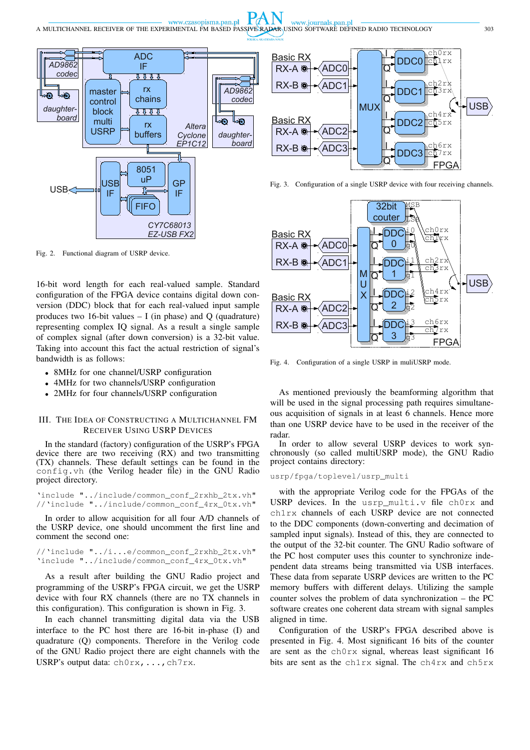$P\!A$ www.czasopisma.pan.pl www.journals.pan.pl A MULTICHANNEL RECEIVER OF THE EXPERIMENTAL FM BASED PASSIVE RADAR USING SOFTWARE DEFINED RADIO TECHNOLOGY 303



Fig. 2. Functional diagram of USRP device.

16-bit word length for each real-valued sample. Standard configuration of the FPGA device contains digital down conversion (DDC) block that for each real-valued input sample produces two 16-bit values – I (in phase) and Q (quadrature) representing complex IQ signal. As a result a single sample of complex signal (after down conversion) is a 32-bit value. Taking into account this fact the actual restriction of signal's bandwidth is as follows:

- 8MHz for one channel/USRP configuration
- 4MHz for two channels/USRP configuration
- 2MHz for four channels/USRP configuration

### III. THE IDEA OF CONSTRUCTING A MULTICHANNEL FM RECEIVER USING USRP DEVICES

In the standard (factory) configuration of the USRP's FPGA device there are two receiving (RX) and two transmitting (TX) channels. These default settings can be found in the config.vh (the Verilog header file) in the GNU Radio project directory.

'include "../include/common\_conf\_2rxhb\_2tx.vh" //'include "../include/common\_conf\_4rx\_0tx.vh"

In order to allow acquisition for all four A/D channels of the USRP device, one should uncomment the first line and comment the second one:

//'include "../i...e/common\_conf\_2rxhb\_2tx.vh" 'include "../include/common\_conf\_4rx\_0tx.vh"

As a result after building the GNU Radio project and programming of the USRP's FPGA circuit, we get the USRP device with four RX channels (there are no TX channels in this configuration). This configuration is shown in Fig. 3.

In each channel transmitting digital data via the USB interface to the PC host there are 16-bit in-phase (I) and quadrature (Q) components. Therefore in the Verilog code of the GNU Radio project there are eight channels with the USRP's output data: ch0rx,...,ch7rx.



Fig. 3. Configuration of a single USRP device with four receiving channels.



Fig. 4. Configuration of a single USRP in muliUSRP mode.

As mentioned previously the beamforming algorithm that will be used in the signal processing path requires simultaneous acquisition of signals in at least 6 channels. Hence more than one USRP device have to be used in the receiver of the radar.

In order to allow several USRP devices to work synchronously (so called multiUSRP mode), the GNU Radio project contains directory:

usrp/fpga/toplevel/usrp\_multi

with the appropriate Verilog code for the FPGAs of the USRP devices. In the usrp multi.v file ch0rx and ch1rx channels of each USRP device are not connected to the DDC components (down-converting and decimation of sampled input signals). Instead of this, they are connected to the output of the 32-bit counter. The GNU Radio software of the PC host computer uses this counter to synchronize independent data streams being transmitted via USB interfaces. These data from separate USRP devices are written to the PC memory buffers with different delays. Utilizing the sample counter solves the problem of data synchronization – the PC software creates one coherent data stream with signal samples aligned in time.

Configuration of the USRP's FPGA described above is presented in Fig. 4. Most significant 16 bits of the counter are sent as the ch0rx signal, whereas least significant 16 bits are sent as the ch1rx signal. The ch4rx and ch5rx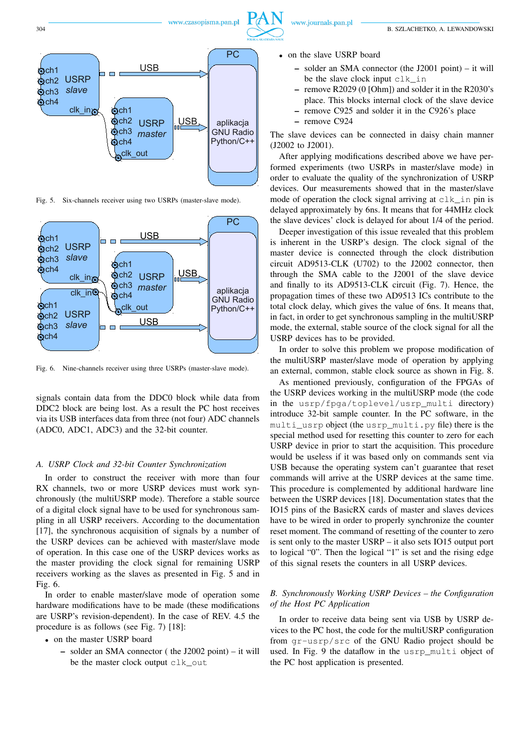



Fig. 5. Six-channels receiver using two USRPs (master-slave mode).



Fig. 6. Nine-channels receiver using three USRPs (master-slave mode).

signals contain data from the DDC0 block while data from DDC2 block are being lost. As a result the PC host receives via its USB interfaces data from three (not four) ADC channels (ADC0, ADC1, ADC3) and the 32-bit counter.

### *A. USRP Clock and 32-bit Counter Synchronization*

In order to construct the receiver with more than four RX channels, two or more USRP devices must work synchronously (the multiUSRP mode). Therefore a stable source of a digital clock signal have to be used for synchronous sampling in all USRP receivers. According to the documentation [17], the synchronous acquisition of signals by a number of the USRP devices can be achieved with master/slave mode of operation. In this case one of the USRP devices works as the master providing the clock signal for remaining USRP receivers working as the slaves as presented in Fig. 5 and in Fig. 6.

In order to enable master/slave mode of operation some hardware modifications have to be made (these modifications are USRP's revision-dependent). In the case of REV. 4.5 the procedure is as follows (see Fig. 7) [18]:

- on the master USRP board
	- solder an SMA connector ( the J2002 point) it will be the master clock output clk\_out
- on the slave USRP board
	- solder an SMA connector (the J2001 point) it will be the slave clock input clk in
	- remove R2029 (0 [Ohm]) and solder it in the R2030's place. This blocks internal clock of the slave device
	- remove C925 and solder it in the C926's place
	- remove C924

The slave devices can be connected in daisy chain manner (J2002 to J2001).

After applying modifications described above we have performed experiments (two USRPs in master/slave mode) in order to evaluate the quality of the synchronization of USRP devices. Our measurements showed that in the master/slave mode of operation the clock signal arriving at clk\_in pin is delayed approximately by 6ns. It means that for 44MHz clock the slave devices' clock is delayed for about 1/4 of the period.

Deeper investigation of this issue revealed that this problem is inherent in the USRP's design. The clock signal of the master device is connected through the clock distribution circuit AD9513-CLK (U702) to the J2002 connector, then through the SMA cable to the J2001 of the slave device and finally to its AD9513-CLK circuit (Fig. 7). Hence, the propagation times of these two AD9513 ICs contribute to the total clock delay, which gives the value of 6ns. It means that, in fact, in order to get synchronous sampling in the multiUSRP mode, the external, stable source of the clock signal for all the USRP devices has to be provided.

In order to solve this problem we propose modification of the multiUSRP master/slave mode of operation by applying an external, common, stable clock source as shown in Fig. 8.

As mentioned previously, configuration of the FPGAs of the USRP devices working in the multiUSRP mode (the code in the usrp/fpga/toplevel/usrp\_multi directory) introduce 32-bit sample counter. In the PC software, in the multi usrp object (the usrp multi.py file) there is the special method used for resetting this counter to zero for each USRP device in prior to start the acquisition. This procedure would be useless if it was based only on commands sent via USB because the operating system can't guarantee that reset commands will arrive at the USRP devices at the same time. This procedure is complemented by additional hardware line between the USRP devices [18]. Documentation states that the IO15 pins of the BasicRX cards of master and slaves devices have to be wired in order to properly synchronize the counter reset moment. The command of resetting of the counter to zero is sent only to the master USRP – it also sets IO15 output port to logical "0". Then the logical "1" is set and the rising edge of this signal resets the counters in all USRP devices.

### *B. Synchronously Working USRP Devices – the Configuration of the Host PC Application*

In order to receive data being sent via USB by USRP devices to the PC host, the code for the multiUSRP configuration from gr-usrp/src of the GNU Radio project should be used. In Fig. 9 the dataflow in the usrp\_multi object of the PC host application is presented.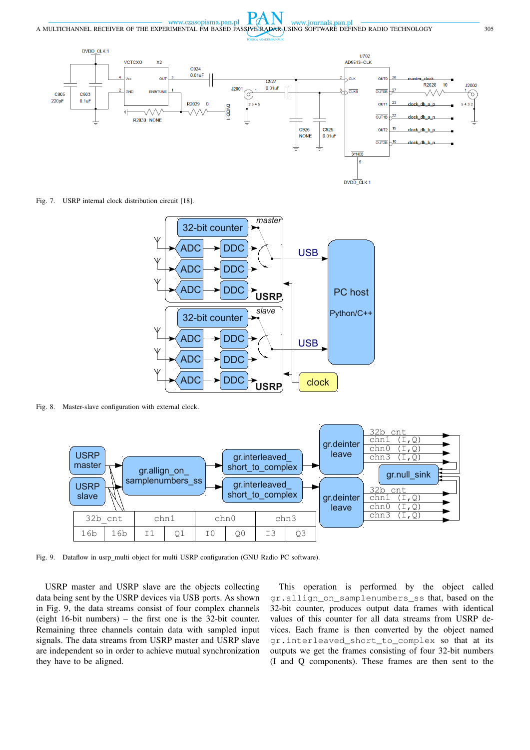

Fig. 7. USRP internal clock distribution circuit [18].



Fig. 8. Master-slave configuration with external clock.



Fig. 9. Dataflow in usrp\_multi object for multi USRP configuration (GNU Radio PC software).

USRP master and USRP slave are the objects collecting data being sent by the USRP devices via USB ports. As shown in Fig. 9, the data streams consist of four complex channels (eight 16-bit numbers) – the first one is the 32-bit counter. Remaining three channels contain data with sampled input signals. The data streams from USRP master and USRP slave are independent so in order to achieve mutual synchronization they have to be aligned.

This operation is performed by the object called gr.allign\_on\_samplenumbers\_ss that, based on the 32-bit counter, produces output data frames with identical values of this counter for all data streams from USRP devices. Each frame is then converted by the object named gr.interleaved\_short\_to\_complex so that at its outputs we get the frames consisting of four 32-bit numbers (I and Q components). These frames are then sent to the